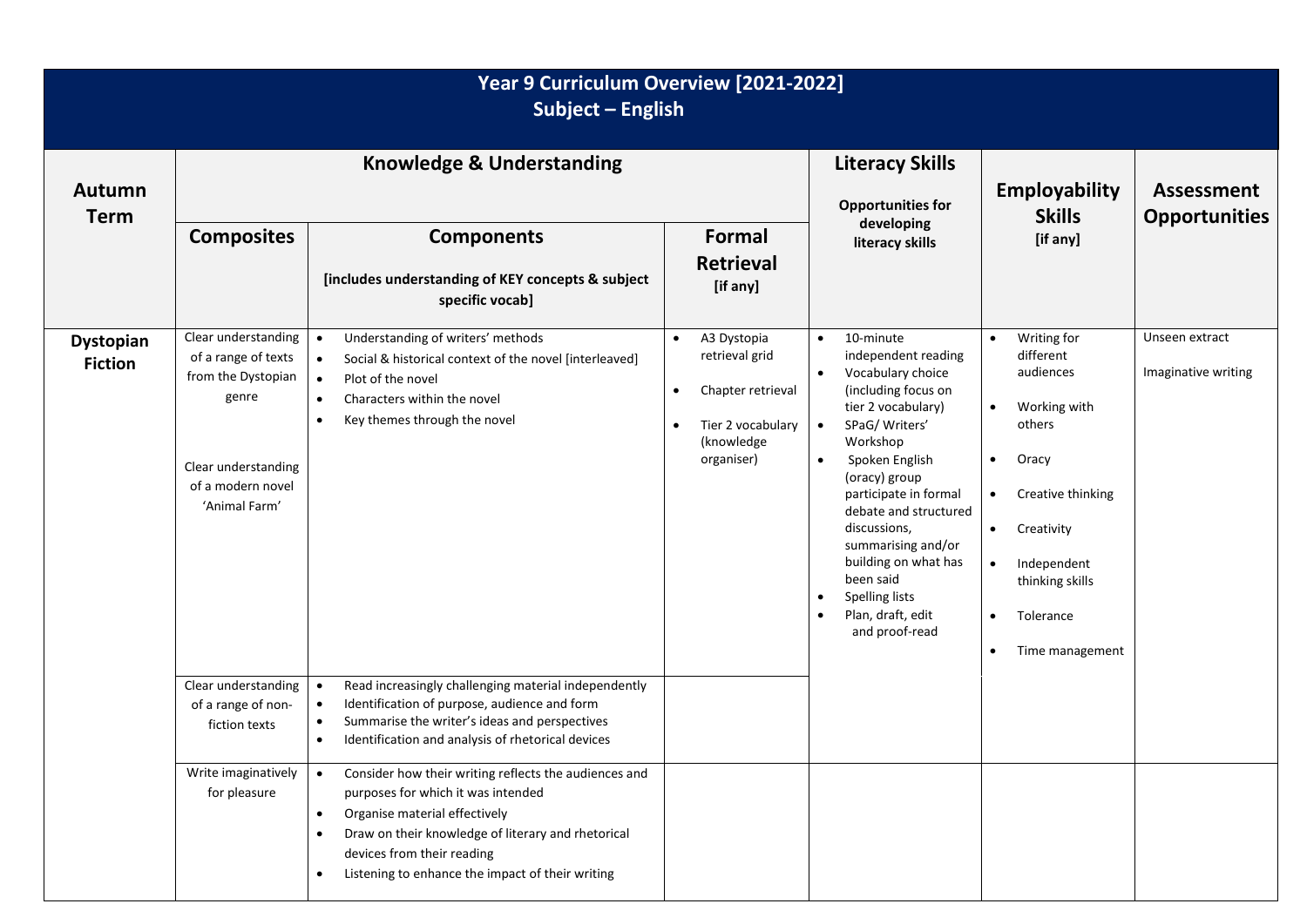| Year 9 Curriculum Overview [2021-2022]<br>Subject - English |                                                                                                                                        |                                                                                                                                                                                                                                                                                                                          |                                                                                                                                            |                                                                                                                                                                                                                                                                                                                                                                                                              |                                                                                                                                                                                                                                                                          |                                       |  |  |  |  |
|-------------------------------------------------------------|----------------------------------------------------------------------------------------------------------------------------------------|--------------------------------------------------------------------------------------------------------------------------------------------------------------------------------------------------------------------------------------------------------------------------------------------------------------------------|--------------------------------------------------------------------------------------------------------------------------------------------|--------------------------------------------------------------------------------------------------------------------------------------------------------------------------------------------------------------------------------------------------------------------------------------------------------------------------------------------------------------------------------------------------------------|--------------------------------------------------------------------------------------------------------------------------------------------------------------------------------------------------------------------------------------------------------------------------|---------------------------------------|--|--|--|--|
| Autumn<br><b>Term</b>                                       |                                                                                                                                        | <b>Knowledge &amp; Understanding</b>                                                                                                                                                                                                                                                                                     | <b>Literacy Skills</b><br><b>Opportunities for</b>                                                                                         | <b>Employability</b><br><b>Skills</b>                                                                                                                                                                                                                                                                                                                                                                        | <b>Assessment</b><br><b>Opportunities</b>                                                                                                                                                                                                                                |                                       |  |  |  |  |
|                                                             | <b>Composites</b>                                                                                                                      | <b>Components</b><br>[includes understanding of KEY concepts & subject<br>specific vocab]                                                                                                                                                                                                                                | Formal<br><b>Retrieval</b><br>[if any]                                                                                                     | developing<br>literacy skills                                                                                                                                                                                                                                                                                                                                                                                | [if any]                                                                                                                                                                                                                                                                 |                                       |  |  |  |  |
| <b>Dystopian</b><br><b>Fiction</b>                          | Clear understanding<br>of a range of texts<br>from the Dystopian<br>genre<br>Clear understanding<br>of a modern novel<br>'Animal Farm' | Understanding of writers' methods<br>$\bullet$<br>Social & historical context of the novel [interleaved]<br>$\bullet$<br>Plot of the novel<br>$\bullet$<br>Characters within the novel<br>$\bullet$<br>Key themes through the novel<br>$\bullet$                                                                         | A3 Dystopia<br>$\bullet$<br>retrieval grid<br>Chapter retrieval<br>$\bullet$<br>Tier 2 vocabulary<br>$\bullet$<br>(knowledge<br>organiser) | 10-minute<br>$\bullet$<br>independent reading<br>Vocabulary choice<br>$\bullet$<br>(including focus on<br>tier 2 vocabulary)<br>SPaG/Writers'<br>$\bullet$<br>Workshop<br>Spoken English<br>(oracy) group<br>participate in formal<br>debate and structured<br>discussions,<br>summarising and/or<br>building on what has<br>been said<br>Spelling lists<br>$\bullet$<br>Plan, draft, edit<br>and proof-read | Writing for<br>different<br>audiences<br>Working with<br>$\bullet$<br>others<br>Oracy<br>$\bullet$<br>Creative thinking<br>$\bullet$<br>Creativity<br>$\bullet$<br>Independent<br>$\bullet$<br>thinking skills<br>Tolerance<br>$\bullet$<br>Time management<br>$\bullet$ | Unseen extract<br>Imaginative writing |  |  |  |  |
|                                                             | Clear understanding<br>of a range of non-<br>fiction texts                                                                             | Read increasingly challenging material independently<br>$\bullet$<br>Identification of purpose, audience and form<br>$\bullet$<br>Summarise the writer's ideas and perspectives<br>$\bullet$<br>Identification and analysis of rhetorical devices<br>$\bullet$                                                           |                                                                                                                                            |                                                                                                                                                                                                                                                                                                                                                                                                              |                                                                                                                                                                                                                                                                          |                                       |  |  |  |  |
|                                                             | Write imaginatively<br>for pleasure                                                                                                    | Consider how their writing reflects the audiences and<br>$\bullet$<br>purposes for which it was intended<br>Organise material effectively<br>$\bullet$<br>Draw on their knowledge of literary and rhetorical<br>$\bullet$<br>devices from their reading<br>Listening to enhance the impact of their writing<br>$\bullet$ |                                                                                                                                            |                                                                                                                                                                                                                                                                                                                                                                                                              |                                                                                                                                                                                                                                                                          |                                       |  |  |  |  |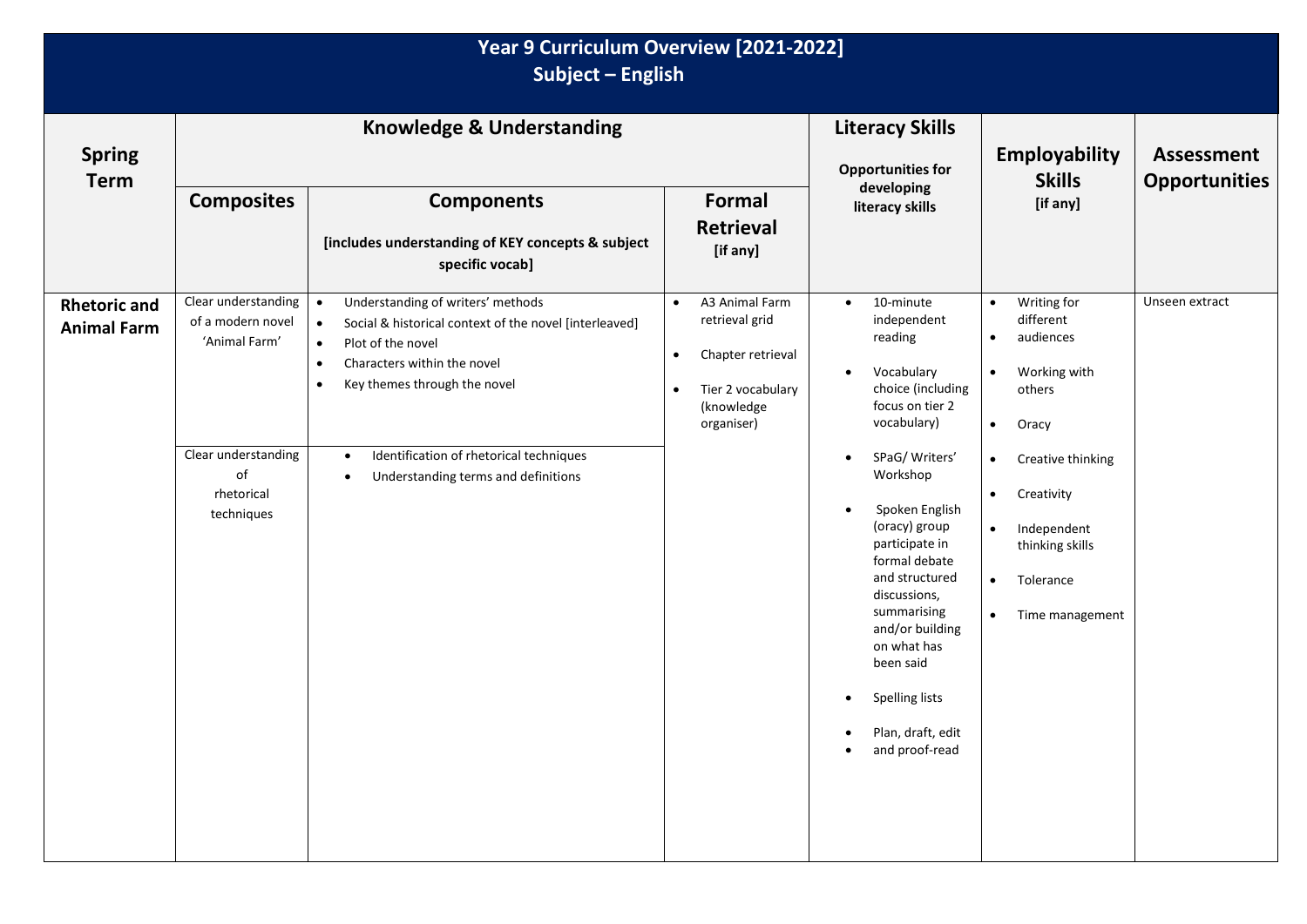|                                           |                                                           | Year 9 Curriculum Overview [2021-2022]<br>Subject - English                                                                                                                                                                                      |                                     |                                                                                                        |                                                                                                                                                                                                                                                                                                      |                                                                                                          |                                                                                                   |                                                                          |                                           |
|-------------------------------------------|-----------------------------------------------------------|--------------------------------------------------------------------------------------------------------------------------------------------------------------------------------------------------------------------------------------------------|-------------------------------------|--------------------------------------------------------------------------------------------------------|------------------------------------------------------------------------------------------------------------------------------------------------------------------------------------------------------------------------------------------------------------------------------------------------------|----------------------------------------------------------------------------------------------------------|---------------------------------------------------------------------------------------------------|--------------------------------------------------------------------------|-------------------------------------------|
| <b>Spring</b><br><b>Term</b>              | <b>Knowledge &amp; Understanding</b>                      |                                                                                                                                                                                                                                                  |                                     |                                                                                                        |                                                                                                                                                                                                                                                                                                      | <b>Literacy Skills</b><br><b>Opportunities for</b>                                                       |                                                                                                   | <b>Employability</b><br><b>Skills</b>                                    | <b>Assessment</b><br><b>Opportunities</b> |
|                                           | <b>Composites</b>                                         | <b>Components</b><br>[includes understanding of KEY concepts & subject<br>specific vocab]                                                                                                                                                        |                                     | Formal<br><b>Retrieval</b><br>[if any]                                                                 | developing<br>literacy skills                                                                                                                                                                                                                                                                        | [if any]                                                                                                 |                                                                                                   |                                                                          |                                           |
| <b>Rhetoric and</b><br><b>Animal Farm</b> | Clear understanding<br>of a modern novel<br>'Animal Farm' | Understanding of writers' methods<br>$\bullet$<br>Social & historical context of the novel [interleaved]<br>$\bullet$<br>Plot of the novel<br>$\bullet$<br>Characters within the novel<br>$\bullet$<br>Key themes through the novel<br>$\bullet$ | $\bullet$<br>$\bullet$<br>$\bullet$ | A3 Animal Farm<br>retrieval grid<br>Chapter retrieval<br>Tier 2 vocabulary<br>(knowledge<br>organiser) | $\bullet$                                                                                                                                                                                                                                                                                            | 10-minute<br>independent<br>reading<br>Vocabulary<br>choice (including<br>focus on tier 2<br>vocabulary) | $\bullet$<br>٠<br>$\bullet$<br>$\bullet$                                                          | Writing for<br>different<br>audiences<br>Working with<br>others<br>Oracy | Unseen extract                            |
|                                           | Clear understanding<br>of<br>rhetorical<br>techniques     | Identification of rhetorical techniques<br>$\bullet$<br>Understanding terms and definitions<br>$\bullet$                                                                                                                                         |                                     |                                                                                                        | SPaG/Writers'<br>$\bullet$<br>Workshop<br>Spoken English<br>$\bullet$<br>(oracy) group<br>participate in<br>formal debate<br>and structured<br>discussions,<br>summarising<br>and/or building<br>on what has<br>been said<br>Spelling lists<br>$\bullet$<br>Plan, draft, edit<br>٠<br>and proof-read | $\bullet$<br>$\bullet$<br>$\bullet$<br>$\bullet$<br>$\bullet$                                            | Creative thinking<br>Creativity<br>Independent<br>thinking skills<br>Tolerance<br>Time management |                                                                          |                                           |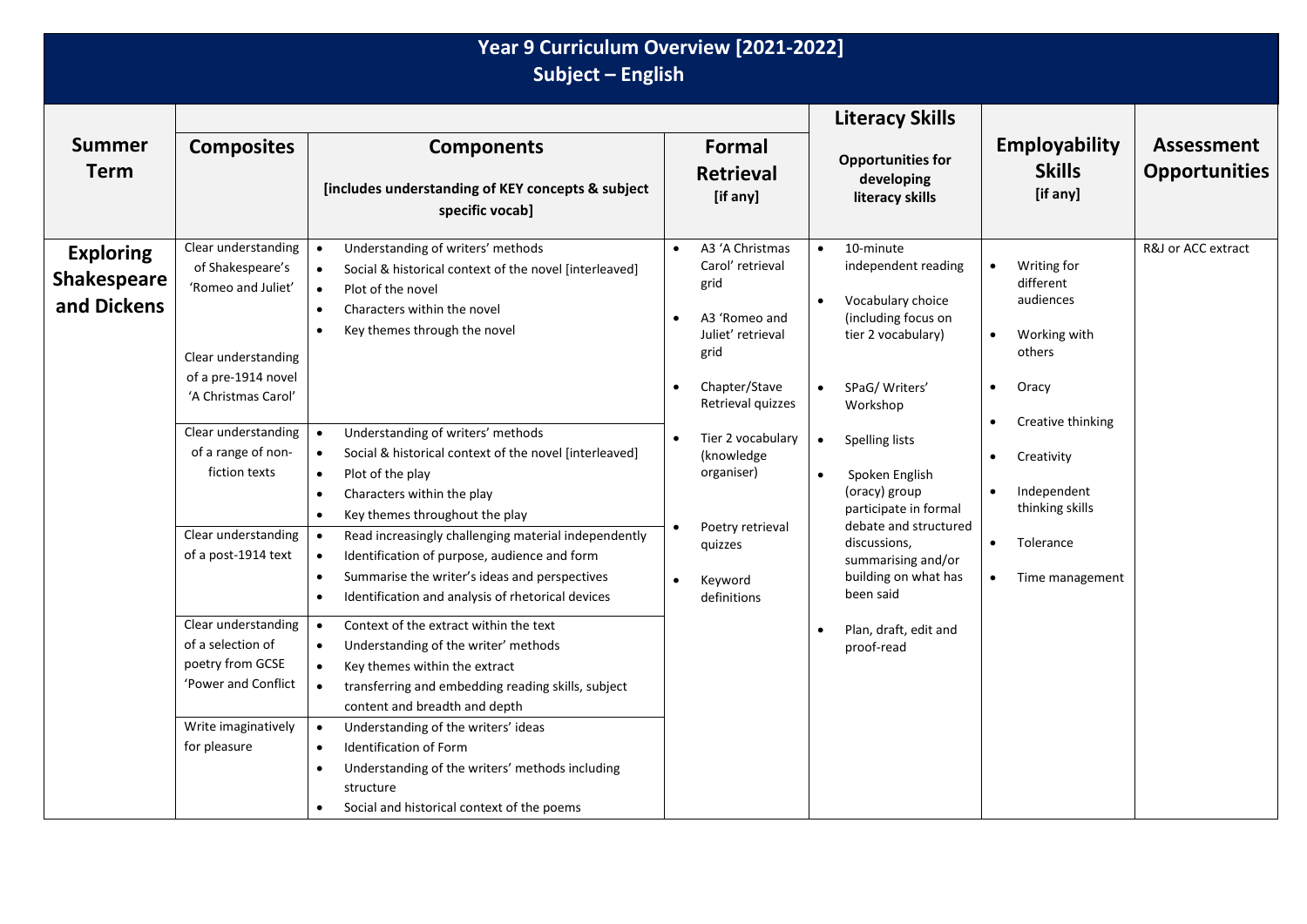|                                                       |                                                                                                                                                                                                                                                                                                                                                                              | Year 9 Curriculum Overview [2021-2022]<br>Subject - English                                                                                                                                                                                                                                                                                                                                                                                                                                                                                                                                                                                                                                                                                                                                                                                                                                                                                                                                                                                                                                                                            |                        |                                                                                                                                                                                                                                           |                                     |                                                                                                                                                                                                                                                                                                                                                           |                                                                                                                                                                                                                                                             |                                           |
|-------------------------------------------------------|------------------------------------------------------------------------------------------------------------------------------------------------------------------------------------------------------------------------------------------------------------------------------------------------------------------------------------------------------------------------------|----------------------------------------------------------------------------------------------------------------------------------------------------------------------------------------------------------------------------------------------------------------------------------------------------------------------------------------------------------------------------------------------------------------------------------------------------------------------------------------------------------------------------------------------------------------------------------------------------------------------------------------------------------------------------------------------------------------------------------------------------------------------------------------------------------------------------------------------------------------------------------------------------------------------------------------------------------------------------------------------------------------------------------------------------------------------------------------------------------------------------------------|------------------------|-------------------------------------------------------------------------------------------------------------------------------------------------------------------------------------------------------------------------------------------|-------------------------------------|-----------------------------------------------------------------------------------------------------------------------------------------------------------------------------------------------------------------------------------------------------------------------------------------------------------------------------------------------------------|-------------------------------------------------------------------------------------------------------------------------------------------------------------------------------------------------------------------------------------------------------------|-------------------------------------------|
| <b>Summer</b><br><b>Term</b>                          | <b>Composites</b>                                                                                                                                                                                                                                                                                                                                                            | <b>Components</b><br>[includes understanding of KEY concepts & subject<br>specific vocab]                                                                                                                                                                                                                                                                                                                                                                                                                                                                                                                                                                                                                                                                                                                                                                                                                                                                                                                                                                                                                                              |                        | Formal<br><b>Retrieval</b><br>[if any]                                                                                                                                                                                                    |                                     | <b>Literacy Skills</b><br><b>Opportunities for</b><br>developing<br>literacy skills                                                                                                                                                                                                                                                                       | Employability<br><b>Skills</b><br>[if any]                                                                                                                                                                                                                  | <b>Assessment</b><br><b>Opportunities</b> |
| <b>Exploring</b><br><b>Shakespeare</b><br>and Dickens | Clear understanding<br>of Shakespeare's<br>'Romeo and Juliet'<br>Clear understanding<br>of a pre-1914 novel<br>'A Christmas Carol'<br>Clear understanding<br>of a range of non-<br>fiction texts<br>Clear understanding<br>of a post-1914 text<br>Clear understanding<br>of a selection of<br>poetry from GCSE<br>'Power and Conflict<br>Write imaginatively<br>for pleasure | Understanding of writers' methods<br>$\bullet$<br>Social & historical context of the novel [interleaved]<br>$\bullet$<br>Plot of the novel<br>$\bullet$<br>Characters within the novel<br>$\bullet$<br>Key themes through the novel<br>$\bullet$<br>Understanding of writers' methods<br>$\bullet$<br>Social & historical context of the novel [interleaved]<br>$\bullet$<br>Plot of the play<br>$\bullet$<br>Characters within the play<br>$\bullet$<br>Key themes throughout the play<br>$\bullet$<br>Read increasingly challenging material independently<br>$\bullet$<br>Identification of purpose, audience and form<br>$\bullet$<br>Summarise the writer's ideas and perspectives<br>$\bullet$<br>Identification and analysis of rhetorical devices<br>$\bullet$<br>Context of the extract within the text<br>$\bullet$<br>Understanding of the writer' methods<br>$\bullet$<br>Key themes within the extract<br>$\bullet$<br>transferring and embedding reading skills, subject<br>$\bullet$<br>content and breadth and depth<br>Understanding of the writers' ideas<br>$\bullet$<br><b>Identification of Form</b><br>$\bullet$ | $\bullet$<br>$\bullet$ | A3 'A Christmas<br>Carol' retrieval<br>grid<br>A3 'Romeo and<br>Juliet' retrieval<br>grid<br>Chapter/Stave<br>Retrieval quizzes<br>Tier 2 vocabulary<br>(knowledge<br>organiser)<br>Poetry retrieval<br>quizzes<br>Keyword<br>definitions | $\bullet$<br>$\bullet$<br>$\bullet$ | 10-minute<br>independent reading<br>Vocabulary choice<br>(including focus on<br>tier 2 vocabulary)<br>SPaG/ Writers'<br>Workshop<br>Spelling lists<br>Spoken English<br>(oracy) group<br>participate in formal<br>debate and structured<br>discussions,<br>summarising and/or<br>building on what has<br>been said<br>Plan, draft, edit and<br>proof-read | Writing for<br>$\bullet$<br>different<br>audiences<br>Working with<br>others<br>Oracy<br>$\bullet$<br>Creative thinking<br>$\bullet$<br>Creativity<br>$\bullet$<br>Independent<br>thinking skills<br>Tolerance<br>$\bullet$<br>Time management<br>$\bullet$ | R&J or ACC extract                        |
|                                                       |                                                                                                                                                                                                                                                                                                                                                                              | Understanding of the writers' methods including<br>$\bullet$<br>structure<br>Social and historical context of the poems<br>$\bullet$                                                                                                                                                                                                                                                                                                                                                                                                                                                                                                                                                                                                                                                                                                                                                                                                                                                                                                                                                                                                   |                        |                                                                                                                                                                                                                                           |                                     |                                                                                                                                                                                                                                                                                                                                                           |                                                                                                                                                                                                                                                             |                                           |